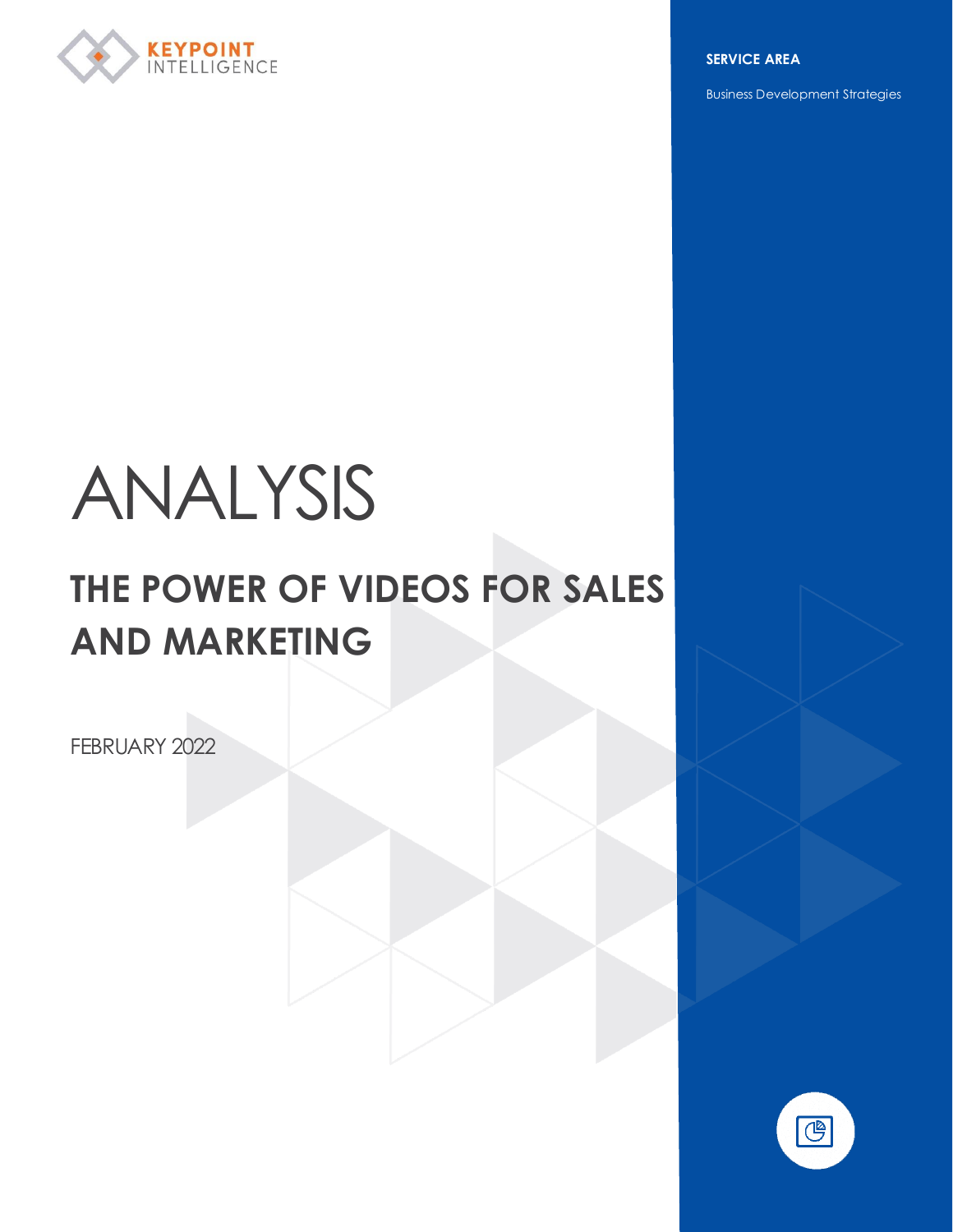

**SERVICE AREA**

Business Development Strategies

# ANALYSIS

## **THE POWER OF VIDEOS FOR SALES AND MARKETING**

FEBRUARY 2022

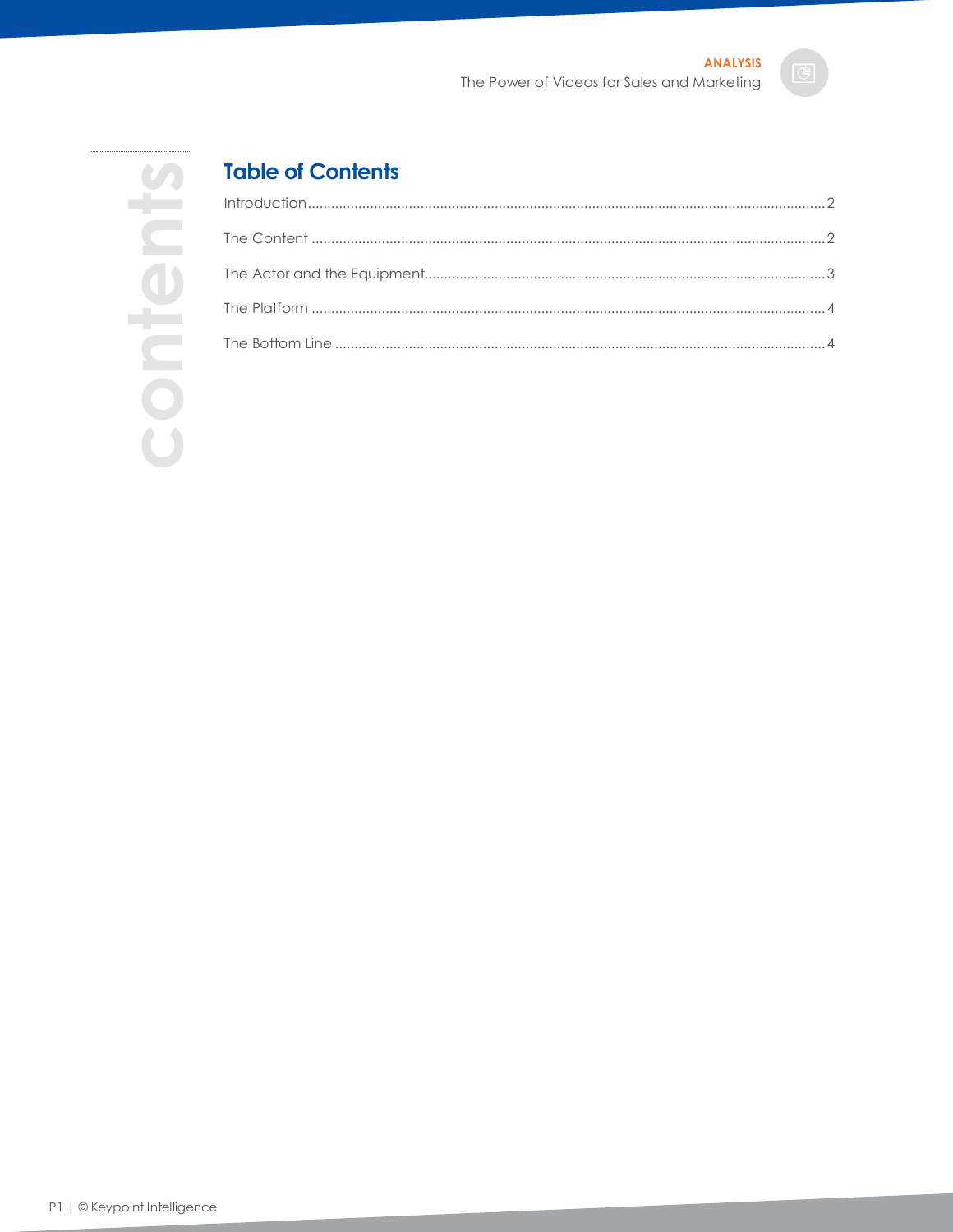

### **Table of Contents**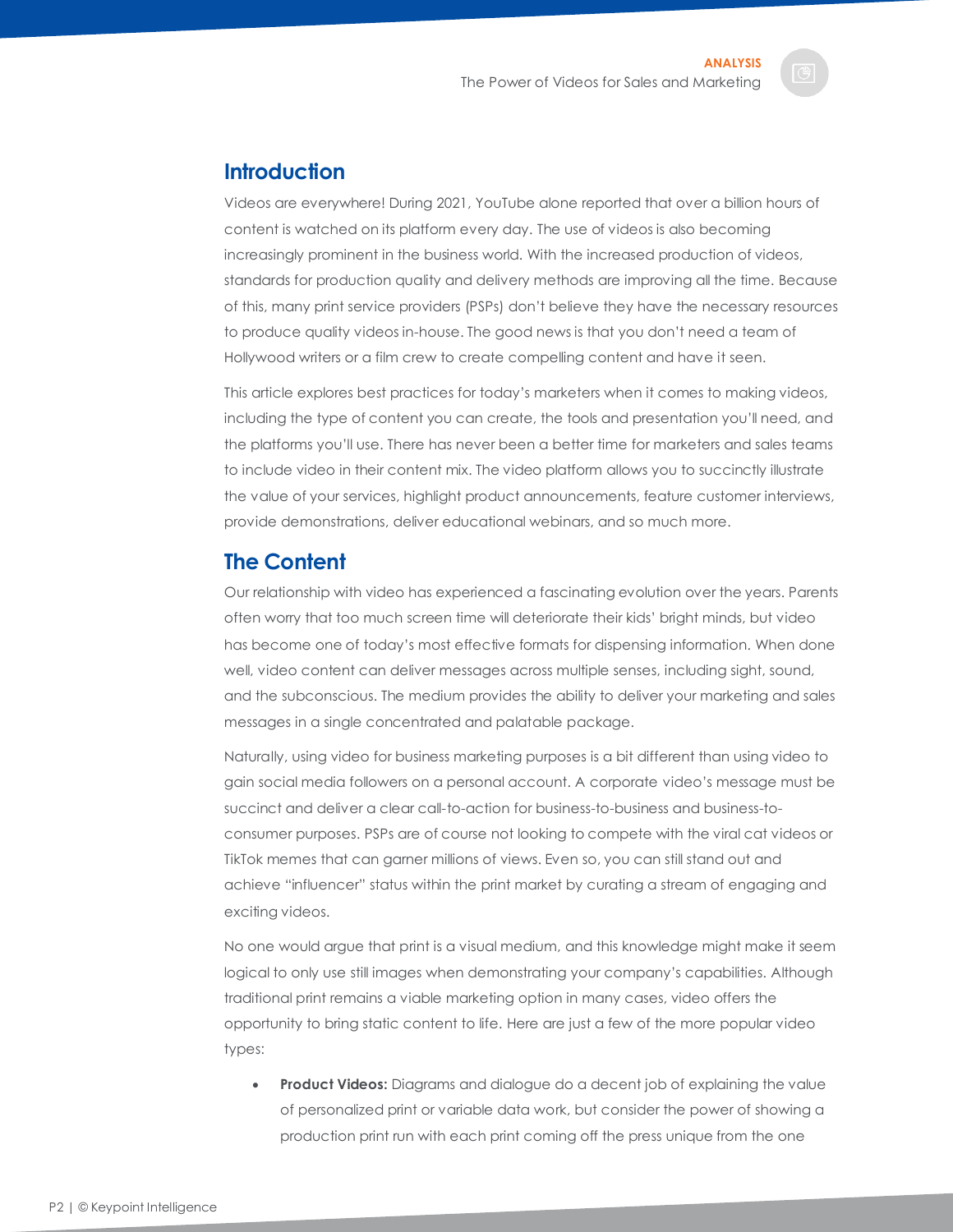#### <span id="page-2-0"></span>**Introduction**

Videos are everywhere! During 2021, YouTube alone reported that over a billion hours of content is watched on its platform every day. The use of videos is also becoming increasingly prominent in the business world. With the increased production of videos, standards for production quality and delivery methods are improving all the time. Because of this, many print service providers (PSPs) don't believe they have the necessary resources to produce quality videos in-house. The good news is that you don't need a team of Hollywood writers or a film crew to create compelling content and have it seen.

This article explores best practices for today's marketers when it comes to making videos, including the type of content you can create, the tools and presentation you'll need, and the platforms you'll use. There has never been a better time for marketers and sales teams to include video in their content mix. The video platform allows you to succinctly illustrate the value of your services, highlight product announcements, feature customer interviews, provide demonstrations, deliver educational webinars, and so much more.

#### <span id="page-2-1"></span>**The Content**

Our relationship with video has experienced a fascinating evolution over the years. Parents often worry that too much screen time will deteriorate their kids' bright minds, but video has become one of today's most effective formats for dispensing information. When done well, video content can deliver messages across multiple senses, including sight, sound, and the subconscious. The medium provides the ability to deliver your marketing and sales messages in a single concentrated and palatable package.

Naturally, using video for business marketing purposes is a bit different than using video to gain social media followers on a personal account. A corporate video's message must be succinct and deliver a clear call-to-action for business-to-business and business-toconsumer purposes. PSPs are of course not looking to compete with the viral cat videos or TikTok memes that can garner millions of views. Even so, you can still stand out and achieve "influencer" status within the print market by curating a stream of engaging and exciting videos.

No one would argue that print is a visual medium, and this knowledge might make it seem logical to only use still images when demonstrating your company's capabilities. Although traditional print remains a viable marketing option in many cases, video offers the opportunity to bring static content to life. Here are just a few of the more popular video types:

• **Product Videos:** Diagrams and dialogue do a decent job of explaining the value of personalized print or variable data work, but consider the power of showing a production print run with each print coming off the press unique from the one

P2 | © Keypoint Intelligence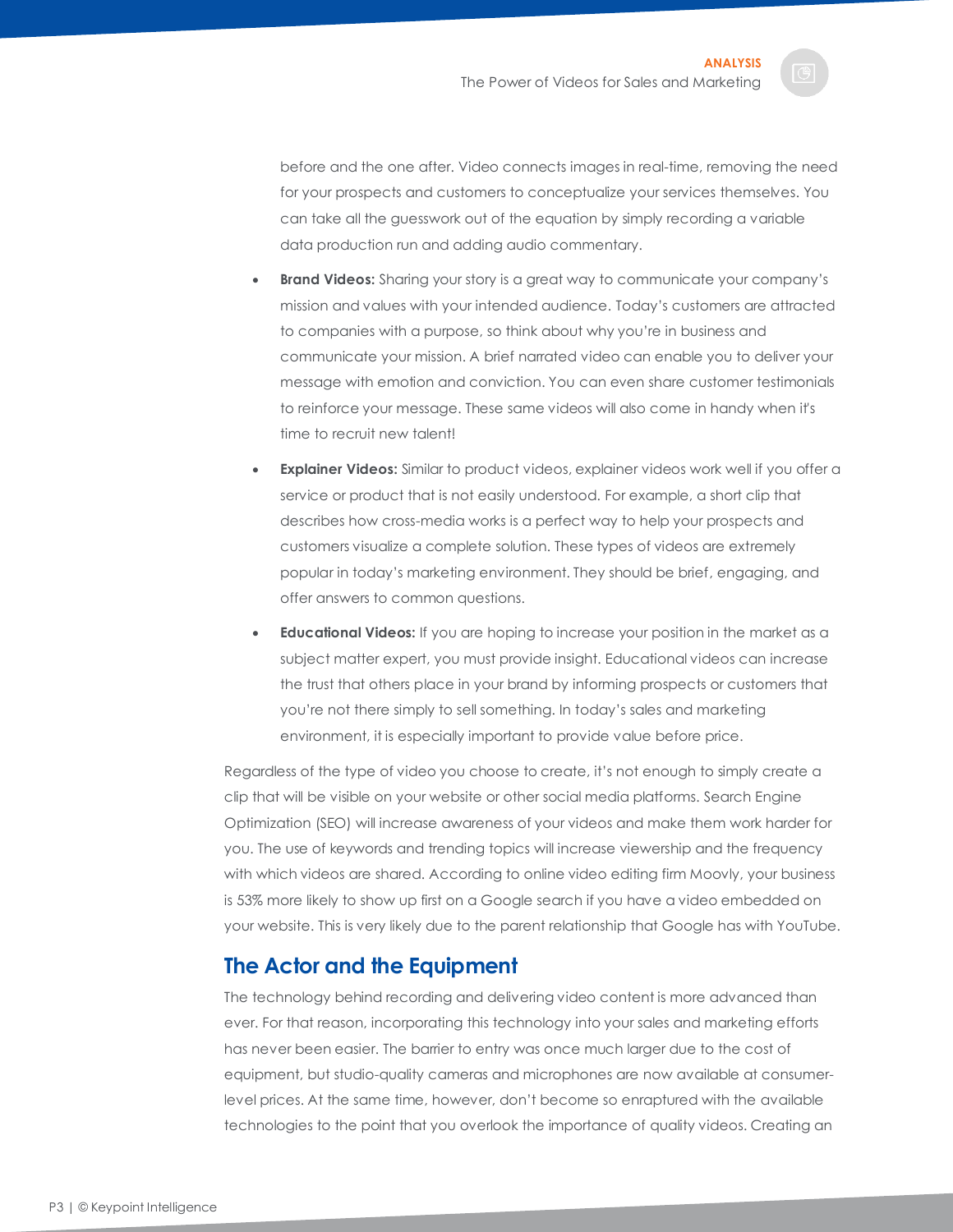before and the one after. Video connects images in real-time, removing the need for your prospects and customers to conceptualize your services themselves. You can take all the guesswork out of the equation by simply recording a variable data production run and adding audio commentary.

- **Brand Videos:** Sharing your story is a great way to communicate your company's mission and values with your intended audience. Today's customers are attracted to companies with a purpose, so think about why you're in business and communicate your mission. A brief narrated video can enable you to deliver your message with emotion and conviction. You can even share customer testimonials to reinforce your message. These same videos will also come in handy when it's time to recruit new talent!
- **Explainer Videos:** Similar to product videos, explainer videos work well if you offer a service or product that is not easily understood. For example, a short clip that describes how cross-media works is a perfect way to help your prospects and customers visualize a complete solution. These types of videos are extremely popular in today's marketing environment. They should be brief, engaging, and offer answers to common questions.
- **Educational Videos:** If you are hoping to increase your position in the market as a subject matter expert, you must provide insight. Educational videos can increase the trust that others place in your brand by informing prospects or customers that you're not there simply to sell something. In today's sales and marketing environment, it is especially important to provide value before price.

Regardless of the type of video you choose to create, it's not enough to simply create a clip that will be visible on your website or other social media platforms. Search Engine Optimization (SEO) will increase awareness of your videos and make them work harder for you. The use of keywords and trending topics will increase viewership and the frequency with which videos are shared. According to online video editing firm Moovly, your business is 53% more likely to show up first on a Google search if you have a video embedded on your website. This is very likely due to the parent relationship that Google has with YouTube.

#### <span id="page-3-0"></span>**The Actor and the Equipment**

The technology behind recording and delivering video content is more advanced than ever. For that reason, incorporating this technology into your sales and marketing efforts has never been easier. The barrier to entry was once much larger due to the cost of equipment, but studio-quality cameras and microphones are now available at consumerlevel prices. At the same time, however, don't become so enraptured with the available technologies to the point that you overlook the importance of quality videos. Creating an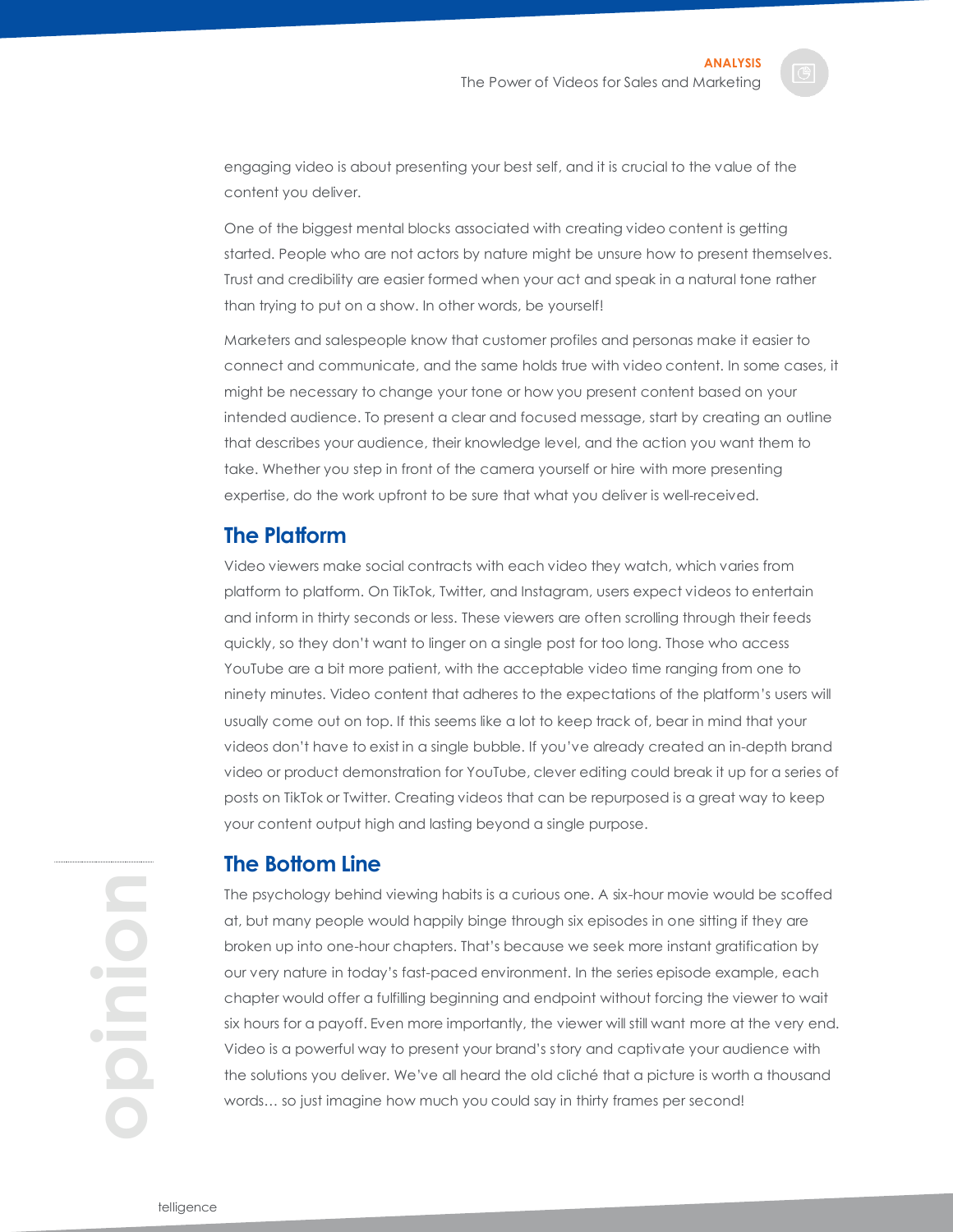engaging video is about presenting your best self, and it is crucial to the value of the content you deliver.

One of the biggest mental blocks associated with creating video content is getting started. People who are not actors by nature might be unsure how to present themselves. Trust and credibility are easier formed when your act and speak in a natural tone rather than trying to put on a show. In other words, be yourself!

Marketers and salespeople know that customer profiles and personas make it easier to connect and communicate, and the same holds true with video content. In some cases, it might be necessary to change your tone or how you present content based on your intended audience. To present a clear and focused message, start by creating an outline that describes your audience, their knowledge level, and the action you want them to take. Whether you step in front of the camera yourself or hire with more presenting expertise, do the work upfront to be sure that what you deliver is well-received.

#### <span id="page-4-0"></span>**The Platform**

Video viewers make social contracts with each video they watch, which varies from platform to platform. On TikTok, Twitter, and Instagram, users expect videos to entertain and inform in thirty seconds or less. These viewers are often scrolling through their feeds quickly, so they don't want to linger on a single post for too long. Those who access YouTube are a bit more patient, with the acceptable video time ranging from one to ninety minutes. Video content that adheres to the expectations of the platform's users will usually come out on top. If this seems like a lot to keep track of, bear in mind that your videos don't have to exist in a single bubble. If you've already created an in-depth brand video or product demonstration for YouTube, clever editing could break it up for a series of posts on TikTok or Twitter. Creating videos that can be repurposed is a great way to keep your content output high and lasting beyond a single purpose.

**opinion**

#### <span id="page-4-1"></span>**The Bottom Line**

The psychology behind viewing habits is a curious one. A six-hour movie would be scoffed at, but many people would happily binge through six episodes in one sitting if they are broken up into one-hour chapters. That's because we seek more instant gratification by our very nature in today's fast-paced environment. In the series episode example, each chapter would offer a fulfilling beginning and endpoint without forcing the viewer to wait six hours for a payoff. Even more importantly, the viewer will still want more at the very end. Video is a powerful way to present your brand's story and captivate your audience with the solutions you deliver. We've all heard the old cliché that a picture is worth a thousand words… so just imagine how much you could say in thirty frames per second!